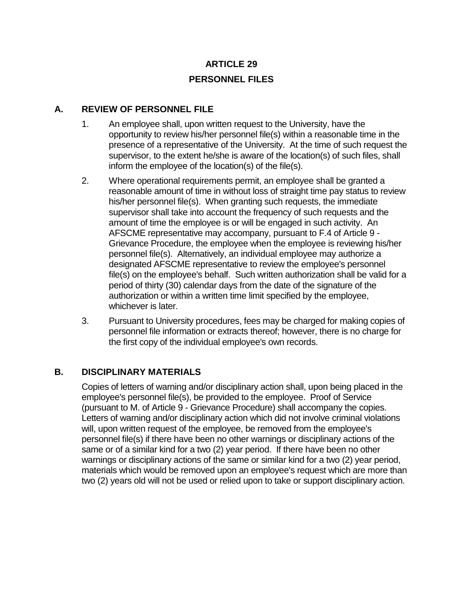# **ARTICLE 29 PERSONNEL FILES**

## **A. REVIEW OF PERSONNEL FILE**

- 1. An employee shall, upon written request to the University, have the opportunity to review his/her personnel file(s) within a reasonable time in the presence of a representative of the University. At the time of such request the supervisor, to the extent he/she is aware of the location(s) of such files, shall inform the employee of the location(s) of the file(s).
- 2. Where operational requirements permit, an employee shall be granted a reasonable amount of time in without loss of straight time pay status to review his/her personnel file(s). When granting such requests, the immediate supervisor shall take into account the frequency of such requests and the amount of time the employee is or will be engaged in such activity. An AFSCME representative may accompany, pursuant to F.4 of Article 9 - Grievance Procedure, the employee when the employee is reviewing his/her personnel file(s). Alternatively, an individual employee may authorize a designated AFSCME representative to review the employee's personnel file(s) on the employee's behalf. Such written authorization shall be valid for a period of thirty (30) calendar days from the date of the signature of the authorization or within a written time limit specified by the employee, whichever is later.
- 3. Pursuant to University procedures, fees may be charged for making copies of personnel file information or extracts thereof; however, there is no charge for the first copy of the individual employee's own records.

#### **B. DISCIPLINARY MATERIALS**

Copies of letters of warning and/or disciplinary action shall, upon being placed in the employee's personnel file(s), be provided to the employee. Proof of Service (pursuant to M. of Article 9 - Grievance Procedure) shall accompany the copies. Letters of warning and/or disciplinary action which did not involve criminal violations will, upon written request of the employee, be removed from the employee's personnel file(s) if there have been no other warnings or disciplinary actions of the same or of a similar kind for a two (2) year period. If there have been no other warnings or disciplinary actions of the same or similar kind for a two (2) year period, materials which would be removed upon an employee's request which are more than two (2) years old will not be used or relied upon to take or support disciplinary action.